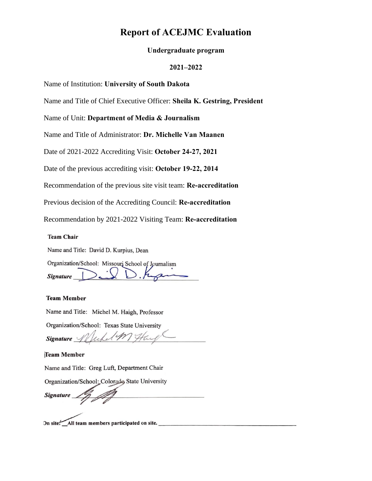# **Report of ACEJMC Evaluation**

#### **Undergraduate program**

#### **2021–2022**

Name of Institution: **University of South Dakota** 

Name and Title of Chief Executive Officer: **Sheila K. Gestring, President**

Name of Unit: **Department of Media & Journalism**

Name and Title of Administrator: **Dr. Michelle Van Maanen**

Date of 2021-2022 Accrediting Visit: **October 24-27, 2021**

Date of the previous accrediting visit: **October 19-22, 2014** 

Recommendation of the previous site visit team: **Re-accreditation**

Previous decision of the Accrediting Council: **Re-accreditation**

Recommendation by 2021-2022 Visiting Team: **Re-accreditation**

#### **Team Chair**

Name and Title: David D. Kurpius, Dean

Organization/School: Missouri School of Journalism Signature

#### **Team Member**

Name and Title: Michel M. Haigh, Professor

Organization/School: Texas State University

Signature  $\mathscr{W}$ What

**Team Member** 

Name and Title: Greg Luft, Department Chair

Organization/School: Colorado State University

**Signature** 

On site. All team members participated on site.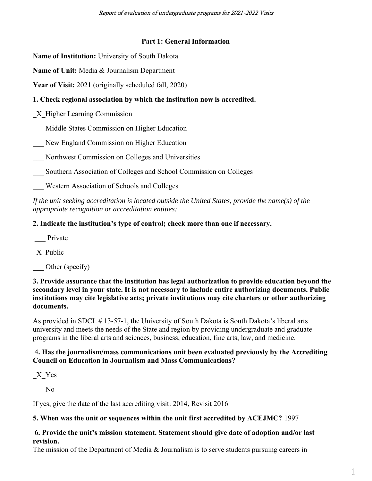Report of evaluation of undergraduate programs for 2021-2022 Visits

# **Part 1: General Information**

**Name of Institution:** University of South Dakota

**Name of Unit:** Media & Journalism Department

**Year of Visit:** 2021 (originally scheduled fall, 2020)

# **1. Check regional association by which the institution now is accredited.**

\_X\_Higher Learning Commission

\_\_\_ Middle States Commission on Higher Education

\_\_\_ New England Commission on Higher Education

\_\_\_ Northwest Commission on Colleges and Universities

\_\_\_ Southern Association of Colleges and School Commission on Colleges

\_\_\_ Western Association of Schools and Colleges

*If the unit seeking accreditation is located outside the United States, provide the name(s) of the appropriate recognition or accreditation entities:* 

# **2. Indicate the institution's type of control; check more than one if necessary.**

Private

X Public

Other (specify)

**3. Provide assurance that the institution has legal authorization to provide education beyond the secondary level in your state. It is not necessary to include entire authorizing documents. Public institutions may cite legislative acts; private institutions may cite charters or other authorizing documents.**

As provided in SDCL # 13-57-1, the University of South Dakota is South Dakota's liberal arts university and meets the needs of the State and region by providing undergraduate and graduate programs in the liberal arts and sciences, business, education, fine arts, law, and medicine.

# 4**. Has the journalism/mass communications unit been evaluated previously by the Accrediting Council on Education in Journalism and Mass Communications?**

\_X\_Yes

\_\_\_ No

If yes, give the date of the last accrediting visit: 2014, Revisit 2016

# **5. When was the unit or sequences within the unit first accredited by ACEJMC?** 1997

# **6. Provide the unit's mission statement. Statement should give date of adoption and/or last revision.**

The mission of the Department of Media & Journalism is to serve students pursuing careers in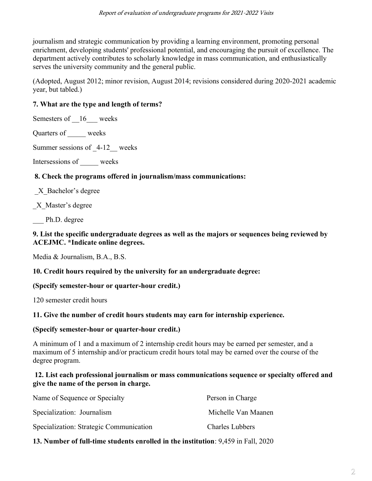journalism and strategic communication by providing a learning environment, promoting personal enrichment, developing students' professional potential, and encouraging the pursuit of excellence. The department actively contributes to scholarly knowledge in mass communication, and enthusiastically serves the university community and the general public.

(Adopted, August 2012; minor revision, August 2014; revisions considered during 2020-2021 academic year, but tabled.)

# **7. What are the type and length of terms?**

Semesters of  $16$  weeks

Quarters of weeks

Summer sessions of  $4-12$  weeks

Intersessions of \_\_\_\_\_ weeks

# **8. Check the programs offered in journalism/mass communications:**

\_X\_Bachelor's degree

\_X\_Master's degree

Ph.D. degree

# **9. List the specific undergraduate degrees as well as the majors or sequences being reviewed by ACEJMC. \*Indicate online degrees.**

Media & Journalism, B.A., B.S.

# **10. Credit hours required by the university for an undergraduate degree:**

# **(Specify semester-hour or quarter-hour credit.)**

120 semester credit hours

# **11. Give the number of credit hours students may earn for internship experience.**

# **(Specify semester-hour or quarter-hour credit.)**

A minimum of 1 and a maximum of 2 internship credit hours may be earned per semester, and a maximum of 5 internship and/or practicum credit hours total may be earned over the course of the degree program.

#### **12. List each professional journalism or mass communications sequence or specialty offered and give the name of the person in charge.**

| Name of Sequence or Specialty           | Person in Charge       |
|-----------------------------------------|------------------------|
| Specialization: Journalism              | Michelle Van Maanen    |
| Specialization: Strategic Communication | <b>Charles Lubbers</b> |

# **13. Number of full-time students enrolled in the institution**: 9,459 in Fall, 2020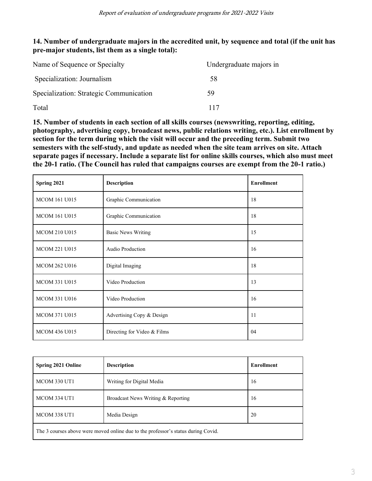### **14. Number of undergraduate majors in the accredited unit, by sequence and total (if the unit has pre-major students, list them as a single total):**

| Name of Sequence or Specialty           | Undergraduate majors in |
|-----------------------------------------|-------------------------|
| Specialization: Journalism              | 58                      |
| Specialization: Strategic Communication | 59                      |
| Total                                   | 117                     |

**15. Number of students in each section of all skills courses (newswriting, reporting, editing, photography, advertising copy, broadcast news, public relations writing, etc.). List enrollment by section for the term during which the visit will occur and the preceding term. Submit two semesters with the self-study, and update as needed when the site team arrives on site. Attach separate pages if necessary. Include a separate list for online skills courses, which also must meet the 20-1 ratio. (The Council has ruled that campaigns courses are exempt from the 20-1 ratio.)**

| Spring 2021          | <b>Description</b>          | <b>Enrollment</b> |
|----------------------|-----------------------------|-------------------|
| <b>MCOM 161 U015</b> | Graphic Communication       | 18                |
| <b>MCOM 161 U015</b> | Graphic Communication       | 18                |
| <b>MCOM 210 U015</b> | <b>Basic News Writing</b>   | 15                |
| <b>MCOM 221 U015</b> | Audio Production            | 16                |
| <b>MCOM 262 U016</b> | Digital Imaging             | 18                |
| MCOM 331 U015        | Video Production            | 13                |
| <b>MCOM 331 U016</b> | Video Production            | 16                |
| <b>MCOM 371 U015</b> | Advertising Copy & Design   | 11                |
| <b>MCOM 436 U015</b> | Directing for Video & Films | 04                |

| <b>Spring 2021 Online</b>                                                         | <b>Description</b>                 | <b>Enrollment</b> |  |
|-----------------------------------------------------------------------------------|------------------------------------|-------------------|--|
| <b>MCOM 330 UT1</b>                                                               | Writing for Digital Media          | 16                |  |
| <b>MCOM 334 UT1</b>                                                               | Broadcast News Writing & Reporting | 16                |  |
| <b>MCOM 338 UT1</b>                                                               | Media Design                       | 20                |  |
| The 3 courses above were moved online due to the professor's status during Covid. |                                    |                   |  |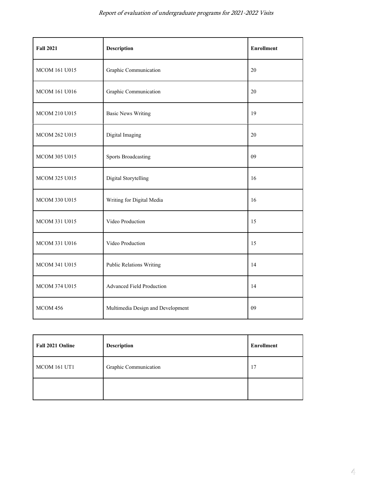| <b>Fall 2021</b>     | <b>Description</b>                | <b>Enrollment</b> |
|----------------------|-----------------------------------|-------------------|
| <b>MCOM 161 U015</b> | Graphic Communication             | 20                |
| MCOM 161 U016        | Graphic Communication             | 20                |
| MCOM 210 U015        | <b>Basic News Writing</b>         | 19                |
| MCOM 262 U015        | Digital Imaging                   | 20                |
| MCOM 305 U015        | <b>Sports Broadcasting</b>        | 09                |
| <b>MCOM 325 U015</b> | Digital Storytelling              | 16                |
| <b>MCOM 330 U015</b> | Writing for Digital Media         | 16                |
| <b>MCOM 331 U015</b> | Video Production                  | 15                |
| MCOM 331 U016        | Video Production                  | 15                |
| MCOM 341 U015        | <b>Public Relations Writing</b>   | 14                |
| MCOM 374 U015        | Advanced Field Production         | 14                |
| <b>MCOM 456</b>      | Multimedia Design and Development | 09                |

| Fall 2021 Online    | <b>Description</b>    | Enrollment |
|---------------------|-----------------------|------------|
| <b>MCOM 161 UT1</b> | Graphic Communication | 17         |
|                     |                       |            |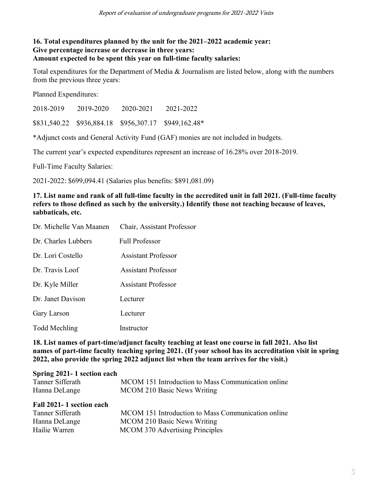#### **16. Total expenditures planned by the unit for the 2021–2022 academic year: Give percentage increase or decrease in three years: Amount expected to be spent this year on full-time faculty salaries:**

Total expenditures for the Department of Media & Journalism are listed below, along with the numbers from the previous three years:

Planned Expenditures:

2018-2019 2019-2020 2020-2021 2021-2022

\$831,540.22 \$936,884.18 \$956,307.17 \$949,162.48\*

\*Adjunct costs and General Activity Fund (GAF) monies are not included in budgets.

The current year's expected expenditures represent an increase of 16.28% over 2018-2019.

Full-Time Faculty Salaries:

2021-2022: \$699,094.41 (Salaries plus benefits: \$891,081.09)

#### **17. List name and rank of all full-time faculty in the accredited unit in fall 2021. (Full-time faculty refers to those defined as such by the university.) Identify those not teaching because of leaves, sabbaticals, etc.**

| Dr. Michelle Van Maanen | Chair, Assistant Professor |
|-------------------------|----------------------------|
| Dr. Charles Lubbers     | <b>Full Professor</b>      |
| Dr. Lori Costello       | <b>Assistant Professor</b> |
| Dr. Travis Loof         | <b>Assistant Professor</b> |
| Dr. Kyle Miller         | <b>Assistant Professor</b> |
| Dr. Janet Davison       | Lecturer                   |
| Gary Larson             | Lecturer                   |
| <b>Todd Mechling</b>    | Instructor                 |

**18. List names of part-time/adjunct faculty teaching at least one course in fall 2021. Also list names of part-time faculty teaching spring 2021. (If your school has its accreditation visit in spring 2022, also provide the spring 2022 adjunct list when the team arrives for the visit.)**

#### **Spring 2021- 1 section each**

| Tanner Sifferath | MCOM 151 Introduction to Mass Communication online |
|------------------|----------------------------------------------------|
| Hanna DeLange    | MCOM 210 Basic News Writing                        |

#### **Fall 2021- 1 section each**

| Tanner Sifferath | MCOM 151 Introduction to Mass Communication online |
|------------------|----------------------------------------------------|
| Hanna DeLange    | MCOM 210 Basic News Writing                        |
| Hailie Warren    | MCOM 370 Advertising Principles                    |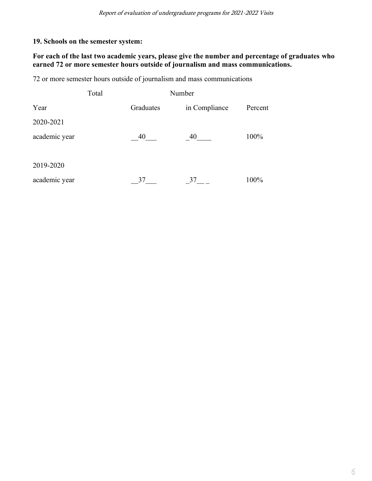# **19. Schools on the semester system:**

# **For each of the last two academic years, please give the number and percentage of graduates who earned 72 or more semester hours outside of journalism and mass communications.**

72 or more semester hours outside of journalism and mass communications

|               | Total |                            |    |         |
|---------------|-------|----------------------------|----|---------|
| Year          |       | Graduates<br>in Compliance |    | Percent |
| 2020-2021     |       |                            |    |         |
| academic year |       | 40                         | 40 | 100%    |
| 2019-2020     |       |                            |    |         |
| academic year |       | 37                         | 37 | 100%    |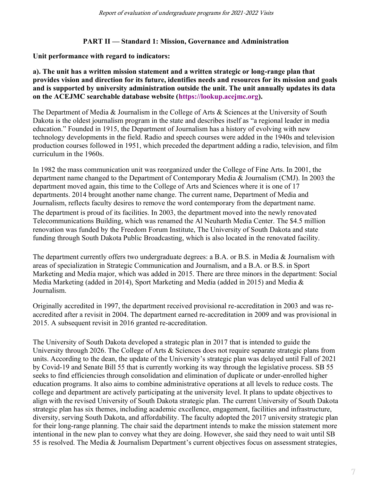#### **PART II — Standard 1: Mission, Governance and Administration**

#### **Unit performance with regard to indicators:**

**a). The unit has a written mission statement and a written strategic or long-range plan that provides vision and direction for its future, identifies needs and resources for its mission and goals and is supported by university administration outside the unit. The unit annually updates its data on the ACEJMC searchable database website [\(https://lookup.acejmc.org\)](https://lookup.acejmc.org/).**

The Department of Media & Journalism in the College of Arts & Sciences at the University of South Dakota is the oldest journalism program in the state and describes itself as "a regional leader in media education." Founded in 1915, the Department of Journalism has a history of evolving with new technology developments in the field. Radio and speech courses were added in the 1940s and television production courses followed in 1951, which preceded the department adding a radio, television, and film curriculum in the 1960s.

In 1982 the mass communication unit was reorganized under the College of Fine Arts. In 2001, the department name changed to the Department of Contemporary Media & Journalism (CMJ). In 2003 the department moved again, this time to the College of Arts and Sciences where it is one of 17 departments. 2014 brought another name change. The current name, Department of Media and Journalism, reflects faculty desires to remove the word contemporary from the department name. The department is proud of its facilities. In 2003, the department moved into the newly renovated Telecommunications Building, which was renamed the Al Neuharth Media Center. The \$4.5 million renovation was funded by the Freedom Forum Institute, The University of South Dakota and state funding through South Dakota Public Broadcasting, which is also located in the renovated facility.

The department currently offers two undergraduate degrees: a B.A. or B.S. in Media & Journalism with areas of specialization in Strategic Communication and Journalism, and a B.A. or B.S. in Sport Marketing and Media major, which was added in 2015. There are three minors in the department: Social Media Marketing (added in 2014), Sport Marketing and Media (added in 2015) and Media & Journalism.

Originally accredited in 1997, the department received provisional re-accreditation in 2003 and was reaccredited after a revisit in 2004. The department earned re-accreditation in 2009 and was provisional in 2015. A subsequent revisit in 2016 granted re-accreditation.

The University of South Dakota developed a strategic plan in 2017 that is intended to guide the University through 2026. The College of Arts & Sciences does not require separate strategic plans from units. According to the dean, the update of the University's strategic plan was delayed until Fall of 2021 by Covid-19 and Senate Bill 55 that is currently working its way through the legislative process. SB 55 seeks to find efficiencies through consolidation and elimination of duplicate or under-enrolled higher education programs. It also aims to combine administrative operations at all levels to reduce costs. The college and department are actively participating at the university level. It plans to update objectives to align with the revised University of South Dakota strategic plan. The current University of South Dakota strategic plan has six themes, including academic excellence, engagement, facilities and infrastructure, diversity, serving South Dakota, and affordability. The faculty adopted the 2017 university strategic plan for their long-range planning. The chair said the department intends to make the mission statement more intentional in the new plan to convey what they are doing. However, she said they need to wait until SB 55 is resolved. The Media & Journalism Department's current objectives focus on assessment strategies,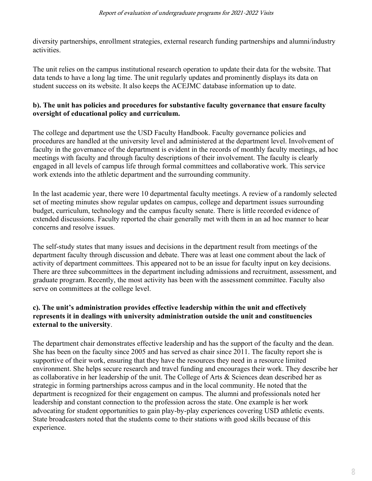diversity partnerships, enrollment strategies, external research funding partnerships and alumni/industry activities.

The unit relies on the campus institutional research operation to update their data for the website. That data tends to have a long lag time. The unit regularly updates and prominently displays its data on student success on its website. It also keeps the ACEJMC database information up to date.

#### **b). The unit has policies and procedures for substantive faculty governance that ensure faculty oversight of educational policy and curriculum.**

The college and department use the USD Faculty Handbook. Faculty governance policies and procedures are handled at the university level and administered at the department level. Involvement of faculty in the governance of the department is evident in the records of monthly faculty meetings, ad hoc meetings with faculty and through faculty descriptions of their involvement. The faculty is clearly engaged in all levels of campus life through formal committees and collaborative work. This service work extends into the athletic department and the surrounding community.

In the last academic year, there were 10 departmental faculty meetings. A review of a randomly selected set of meeting minutes show regular updates on campus, college and department issues surrounding budget, curriculum, technology and the campus faculty senate. There is little recorded evidence of extended discussions. Faculty reported the chair generally met with them in an ad hoc manner to hear concerns and resolve issues.

The self-study states that many issues and decisions in the department result from meetings of the department faculty through discussion and debate. There was at least one comment about the lack of activity of department committees. This appeared not to be an issue for faculty input on key decisions. There are three subcommittees in the department including admissions and recruitment, assessment, and graduate program. Recently, the most activity has been with the assessment committee. Faculty also serve on committees at the college level.

#### **c). The unit's administration provides effective leadership within the unit and effectively represents it in dealings with university administration outside the unit and constituencies external to the university**.

The department chair demonstrates effective leadership and has the support of the faculty and the dean. She has been on the faculty since 2005 and has served as chair since 2011. The faculty report she is supportive of their work, ensuring that they have the resources they need in a resource limited environment. She helps secure research and travel funding and encourages their work. They describe her as collaborative in her leadership of the unit. The College of Arts & Sciences dean described her as strategic in forming partnerships across campus and in the local community. He noted that the department is recognized for their engagement on campus. The alumni and professionals noted her leadership and constant connection to the profession across the state. One example is her work advocating for student opportunities to gain play-by-play experiences covering USD athletic events. State broadcasters noted that the students come to their stations with good skills because of this experience.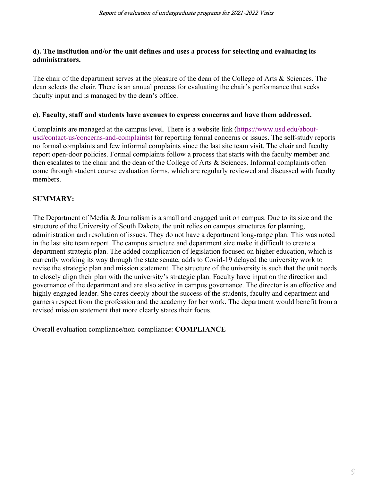#### **d). The institution and/or the unit defines and uses a process for selecting and evaluating its administrators.**

The chair of the department serves at the pleasure of the dean of the College of Arts & Sciences. The dean selects the chair. There is an annual process for evaluating the chair's performance that seeks faculty input and is managed by the dean's office.

#### **e). Faculty, staff and students have avenues to express concerns and have them addressed.**

Complaints are managed at the campus level. There is a website link [\(https://www.usd.edu/about](https://www.usd.edu/about-usd/contact-us/concerns-and-complaints)[usd/contact-us/concerns-and-complaints\)](https://www.usd.edu/about-usd/contact-us/concerns-and-complaints) for reporting formal concerns or issues. The self-study reports no formal complaints and few informal complaints since the last site team visit. The chair and faculty report open-door policies. Formal complaints follow a process that starts with the faculty member and then escalates to the chair and the dean of the College of Arts & Sciences. Informal complaints often come through student course evaluation forms, which are regularly reviewed and discussed with faculty members.

# **SUMMARY:**

The Department of Media & Journalism is a small and engaged unit on campus. Due to its size and the structure of the University of South Dakota, the unit relies on campus structures for planning, administration and resolution of issues. They do not have a department long-range plan. This was noted in the last site team report. The campus structure and department size make it difficult to create a department strategic plan. The added complication of legislation focused on higher education, which is currently working its way through the state senate, adds to Covid-19 delayed the university work to revise the strategic plan and mission statement. The structure of the university is such that the unit needs to closely align their plan with the university's strategic plan. Faculty have input on the direction and governance of the department and are also active in campus governance. The director is an effective and highly engaged leader. She cares deeply about the success of the students, faculty and department and garners respect from the profession and the academy for her work. The department would benefit from a revised mission statement that more clearly states their focus.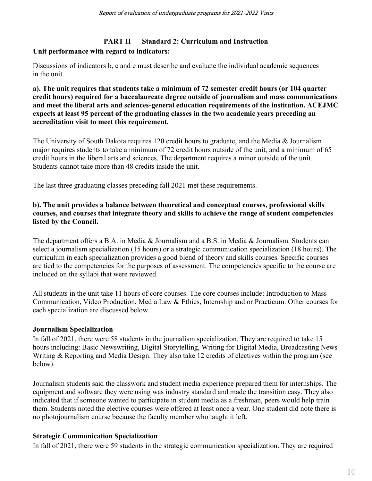# **PART II — Standard 2: Curriculum and Instruction**

# **Unit performance with regard to indicators:**

Discussions of indicators b, c and e must describe and evaluate the individual academic sequences in the unit.

**a). The unit requires that students take a minimum of 72 semester credit hours (or 104 quarter credit hours) required for a baccalaureate degree outside of journalism and mass communications and meet the liberal arts and sciences-general education requirements of the institution. ACEJMC expects at least 95 percent of the graduating classes in the two academic years preceding an accreditation visit to meet this requirement.**

The University of South Dakota requires 120 credit hours to graduate, and the Media & Journalism major requires students to take a minimum of 72 credit hours outside of the unit, and a minimum of 65 credit hours in the liberal arts and sciences. The department requires a minor outside of the unit. Students cannot take more than 48 credits inside the unit.

The last three graduating classes preceding fall 2021 met these requirements.

### **b). The unit provides a balance between theoretical and conceptual courses, professional skills courses, and courses that integrate theory and skills to achieve the range of student competencies listed by the Council.**

The department offers a B.A. in Media & Journalism and a B.S. in Media & Journalism. Students can select a journalism specialization (15 hours) or a strategic communication specialization (18 hours). The curriculum in each specialization provides a good blend of theory and skills courses. Specific courses are tied to the competencies for the purposes of assessment. The competencies specific to the course are included on the syllabi that were reviewed.

All students in the unit take 11 hours of core courses. The core courses include: Introduction to Mass Communication, Video Production, Media Law & Ethics, Internship and or Practicum. Other courses for each specialization are discussed below.

# **Journalism Specialization**

In fall of 2021, there were 58 students in the journalism specialization. They are required to take 15 hours including: Basic Newswriting, Digital Storytelling, Writing for Digital Media, Broadcasting News Writing & Reporting and Media Design. They also take 12 credits of electives within the program (see below).

Journalism students said the classwork and student media experience prepared them for internships. The equipment and software they were using was industry standard and made the transition easy. They also indicated that if someone wanted to participate in student media as a freshman, peers would help train them. Students noted the elective courses were offered at least once a year. One student did note there is no photojournalism course because the faculty member who taught it left.

# **Strategic Communication Specialization**

In fall of 2021, there were 59 students in the strategic communication specialization. They are required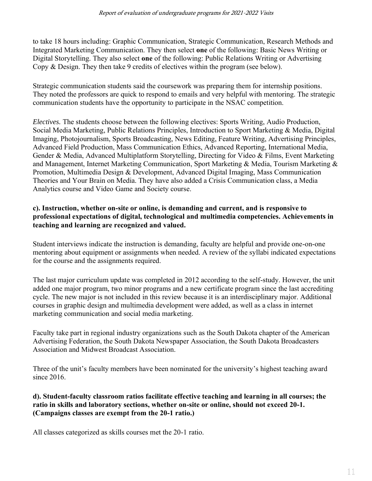to take 18 hours including: Graphic Communication, Strategic Communication, Research Methods and Integrated Marketing Communication. They then select **one** of the following: Basic News Writing or Digital Storytelling. They also select **one** of the following: Public Relations Writing or Advertising Copy & Design. They then take 9 credits of electives within the program (see below).

Strategic communication students said the coursework was preparing them for internship positions. They noted the professors are quick to respond to emails and very helpful with mentoring. The strategic communication students have the opportunity to participate in the NSAC competition.

*Electives.* The students choose between the following electives: Sports Writing, Audio Production, Social Media Marketing, Public Relations Principles, Introduction to Sport Marketing & Media, Digital Imaging, Photojournalism, Sports Broadcasting, News Editing, Feature Writing, Advertising Principles, Advanced Field Production, Mass Communication Ethics, Advanced Reporting, International Media, Gender & Media, Advanced Multiplatform Storytelling, Directing for Video & Films, Event Marketing and Management, Internet Marketing Communication, Sport Marketing & Media, Tourism Marketing & Promotion, Multimedia Design & Development, Advanced Digital Imaging, Mass Communication Theories and Your Brain on Media. They have also added a Crisis Communication class, a Media Analytics course and Video Game and Society course.

### **c). Instruction, whether on-site or online, is demanding and current, and is responsive to professional expectations of digital, technological and multimedia competencies. Achievements in teaching and learning are recognized and valued.**

Student interviews indicate the instruction is demanding, faculty are helpful and provide one-on-one mentoring about equipment or assignments when needed. A review of the syllabi indicated expectations for the course and the assignments required.

The last major curriculum update was completed in 2012 according to the self-study. However, the unit added one major program, two minor programs and a new certificate program since the last accrediting cycle. The new major is not included in this review because it is an interdisciplinary major. Additional courses in graphic design and multimedia development were added, as well as a class in internet marketing communication and social media marketing.

Faculty take part in regional industry organizations such as the South Dakota chapter of the American Advertising Federation, the South Dakota Newspaper Association, the South Dakota Broadcasters Association and Midwest Broadcast Association.

Three of the unit's faculty members have been nominated for the university's highest teaching award since 2016.

# **d). Student-faculty classroom ratios facilitate effective teaching and learning in all courses; the ratio in skills and laboratory sections, whether on-site or online, should not exceed 20-1. (Campaigns classes are exempt from the 20-1 ratio.)**

All classes categorized as skills courses met the 20-1 ratio.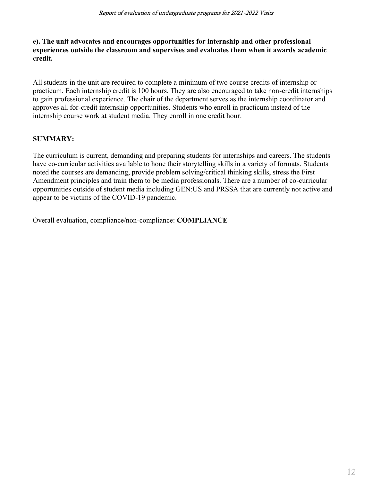#### **e). The unit advocates and encourages opportunities for internship and other professional experiences outside the classroom and supervises and evaluates them when it awards academic credit.**

All students in the unit are required to complete a minimum of two course credits of internship or practicum. Each internship credit is 100 hours. They are also encouraged to take non-credit internships to gain professional experience. The chair of the department serves as the internship coordinator and approves all for-credit internship opportunities. Students who enroll in practicum instead of the internship course work at student media. They enroll in one credit hour.

# **SUMMARY:**

The curriculum is current, demanding and preparing students for internships and careers. The students have co-curricular activities available to hone their storytelling skills in a variety of formats. Students noted the courses are demanding, provide problem solving/critical thinking skills, stress the First Amendment principles and train them to be media professionals. There are a number of co-curricular opportunities outside of student media including GEN:US and PRSSA that are currently not active and appear to be victims of the COVID-19 pandemic.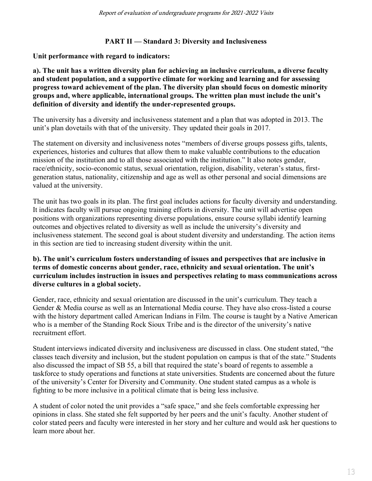### **PART II — Standard 3: Diversity and Inclusiveness**

**Unit performance with regard to indicators:**

**a). The unit has a written diversity plan for achieving an inclusive curriculum, a diverse faculty and student population, and a supportive climate for working and learning and for assessing progress toward achievement of the plan. The diversity plan should focus on domestic minority groups and, where applicable, international groups. The written plan must include the unit's definition of diversity and identify the under-represented groups.**

The university has a diversity and inclusiveness statement and a plan that was adopted in 2013. The unit's plan dovetails with that of the university. They updated their goals in 2017.

The statement on diversity and inclusiveness notes "members of diverse groups possess gifts, talents, experiences, histories and cultures that allow them to make valuable contributions to the education mission of the institution and to all those associated with the institution." It also notes gender, race/ethnicity, socio-economic status, sexual orientation, religion, disability, veteran's status, firstgeneration status, nationality, citizenship and age as well as other personal and social dimensions are valued at the university.

The unit has two goals in its plan. The first goal includes actions for faculty diversity and understanding. It indicates faculty will pursue ongoing training efforts in diversity. The unit will advertise open positions with organizations representing diverse populations, ensure course syllabi identify learning outcomes and objectives related to diversity as well as include the university's diversity and inclusiveness statement. The second goal is about student diversity and understanding. The action items in this section are tied to increasing student diversity within the unit.

#### **b). The unit's curriculum fosters understanding of issues and perspectives that are inclusive in terms of domestic concerns about gender, race, ethnicity and sexual orientation. The unit's curriculum includes instruction in issues and perspectives relating to mass communications across diverse cultures in a global society.**

Gender, race, ethnicity and sexual orientation are discussed in the unit's curriculum. They teach a Gender & Media course as well as an International Media course. They have also cross-listed a course with the history department called American Indians in Film. The course is taught by a Native American who is a member of the Standing Rock Sioux Tribe and is the director of the university's native recruitment effort.

Student interviews indicated diversity and inclusiveness are discussed in class. One student stated, "the classes teach diversity and inclusion, but the student population on campus is that of the state." Students also discussed the impact of SB 55, a bill that required the state's board of regents to assemble a taskforce to study operations and functions at state universities. Students are concerned about the future of the university's Center for Diversity and Community. One student stated campus as a whole is fighting to be more inclusive in a political climate that is being less inclusive.

A student of color noted the unit provides a "safe space," and she feels comfortable expressing her opinions in class. She stated she felt supported by her peers and the unit's faculty. Another student of color stated peers and faculty were interested in her story and her culture and would ask her questions to learn more about her.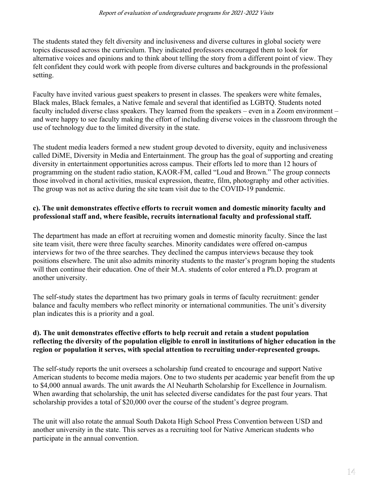The students stated they felt diversity and inclusiveness and diverse cultures in global society were topics discussed across the curriculum. They indicated professors encouraged them to look for alternative voices and opinions and to think about telling the story from a different point of view. They felt confident they could work with people from diverse cultures and backgrounds in the professional setting.

Faculty have invited various guest speakers to present in classes. The speakers were white females, Black males, Black females, a Native female and several that identified as LGBTQ. Students noted faculty included diverse class speakers. They learned from the speakers – even in a Zoom environment – and were happy to see faculty making the effort of including diverse voices in the classroom through the use of technology due to the limited diversity in the state.

The student media leaders formed a new student group devoted to diversity, equity and inclusiveness called DiME, Diversity in Media and Entertainment. The group has the goal of supporting and creating diversity in entertainment opportunities across campus. Their efforts led to more than 12 hours of programming on the student radio station, KAOR-FM, called "Loud and Brown." The group connects those involved in choral activities, musical expression, theatre, film, photography and other activities. The group was not as active during the site team visit due to the COVID-19 pandemic.

#### **c). The unit demonstrates effective efforts to recruit women and domestic minority faculty and professional staff and, where feasible, recruits international faculty and professional staff.**

The department has made an effort at recruiting women and domestic minority faculty. Since the last site team visit, there were three faculty searches. Minority candidates were offered on-campus interviews for two of the three searches. They declined the campus interviews because they took positions elsewhere. The unit also admits minority students to the master's program hoping the students will then continue their education. One of their M.A. students of color entered a Ph.D. program at another university.

The self-study states the department has two primary goals in terms of faculty recruitment: gender balance and faculty members who reflect minority or international communities. The unit's diversity plan indicates this is a priority and a goal.

#### **d). The unit demonstrates effective efforts to help recruit and retain a student population reflecting the diversity of the population eligible to enroll in institutions of higher education in the region or population it serves, with special attention to recruiting under-represented groups.**

The self-study reports the unit oversees a scholarship fund created to encourage and support Native American students to become media majors. One to two students per academic year benefit from the up to \$4,000 annual awards. The unit awards the Al Neuharth Scholarship for Excellence in Journalism. When awarding that scholarship, the unit has selected diverse candidates for the past four years. That scholarship provides a total of \$20,000 over the course of the student's degree program.

The unit will also rotate the annual South Dakota High School Press Convention between USD and another university in the state. This serves as a recruiting tool for Native American students who participate in the annual convention.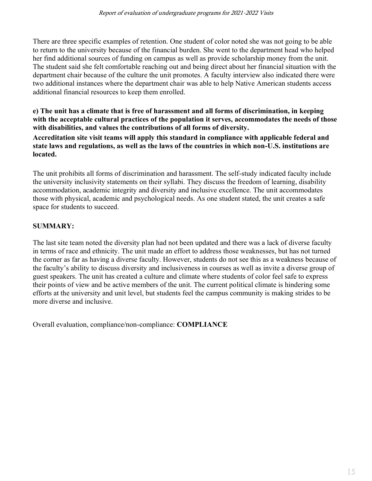There are three specific examples of retention. One student of color noted she was not going to be able to return to the university because of the financial burden. She went to the department head who helped her find additional sources of funding on campus as well as provide scholarship money from the unit. The student said she felt comfortable reaching out and being direct about her financial situation with the department chair because of the culture the unit promotes. A faculty interview also indicated there were two additional instances where the department chair was able to help Native American students access additional financial resources to keep them enrolled.

**e) The unit has a climate that is free of harassment and all forms of discrimination, in keeping with the acceptable cultural practices of the population it serves, accommodates the needs of those with disabilities, and values the contributions of all forms of diversity. Accreditation site visit teams will apply this standard in compliance with applicable federal and state laws and regulations, as well as the laws of the countries in which non-U.S. institutions are located.**

The unit prohibits all forms of discrimination and harassment. The self-study indicated faculty include the university inclusivity statements on their syllabi. They discuss the freedom of learning, disability accommodation, academic integrity and diversity and inclusive excellence. The unit accommodates those with physical, academic and psychological needs. As one student stated, the unit creates a safe space for students to succeed.

# **SUMMARY:**

The last site team noted the diversity plan had not been updated and there was a lack of diverse faculty in terms of race and ethnicity. The unit made an effort to address those weaknesses, but has not turned the corner as far as having a diverse faculty. However, students do not see this as a weakness because of the faculty's ability to discuss diversity and inclusiveness in courses as well as invite a diverse group of guest speakers. The unit has created a culture and climate where students of color feel safe to express their points of view and be active members of the unit. The current political climate is hindering some efforts at the university and unit level, but students feel the campus community is making strides to be more diverse and inclusive.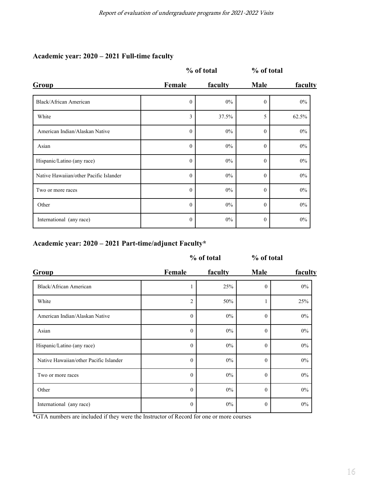# **Academic year: 2020 – 2021 Full-time faculty**

|                                        | % of total        |       | % of total     |         |
|----------------------------------------|-------------------|-------|----------------|---------|
| Group                                  | Female<br>faculty |       | <b>Male</b>    | faculty |
| Black/African American                 | $\theta$          | $0\%$ | $\overline{0}$ | $0\%$   |
| White                                  | 3                 | 37.5% | 5              | 62.5%   |
| American Indian/Alaskan Native         | $\mathbf{0}$      | $0\%$ | $\mathbf{0}$   | $0\%$   |
| Asian                                  | $\theta$          | $0\%$ | $\theta$       | $0\%$   |
| Hispanic/Latino (any race)             | $\mathbf{0}$      | $0\%$ | $\mathbf{0}$   | $0\%$   |
| Native Hawaiian/other Pacific Islander | $\theta$          | $0\%$ | $\theta$       | $0\%$   |
| Two or more races                      | $\mathbf{0}$      | $0\%$ | $\mathbf{0}$   | $0\%$   |
| Other                                  | $\theta$          | $0\%$ | $\overline{0}$ | $0\%$   |
| International (any race)               | $\theta$          | $0\%$ | $\theta$       | $0\%$   |

# **Academic year: 2020 – 2021 Part-time/adjunct Faculty\***

|                                        | % of total       |         | % of total   |         |
|----------------------------------------|------------------|---------|--------------|---------|
| Group                                  | Female           | faculty | <b>Male</b>  | faculty |
| Black/African American                 |                  | 25%     | $\mathbf{0}$ | $0\%$   |
| White                                  | 2                | 50%     |              | 25%     |
| American Indian/Alaskan Native         | $\theta$         | 0%      | $\theta$     | $0\%$   |
| Asian                                  | $\theta$         | $0\%$   | $\theta$     | $0\%$   |
| Hispanic/Latino (any race)             | $\boldsymbol{0}$ | $0\%$   | $\mathbf{0}$ | $0\%$   |
| Native Hawaiian/other Pacific Islander | $\theta$         | $0\%$   | $\theta$     | $0\%$   |
| Two or more races                      | $\mathbf{0}$     | 0%      | $\mathbf{0}$ | $0\%$   |
| Other                                  | $\mathbf{0}$     | $0\%$   | $\theta$     | $0\%$   |
| International (any race)               | $\boldsymbol{0}$ | 0%      | $\mathbf{0}$ | $0\%$   |

\*GTA numbers are included if they were the Instructor of Record for one or more courses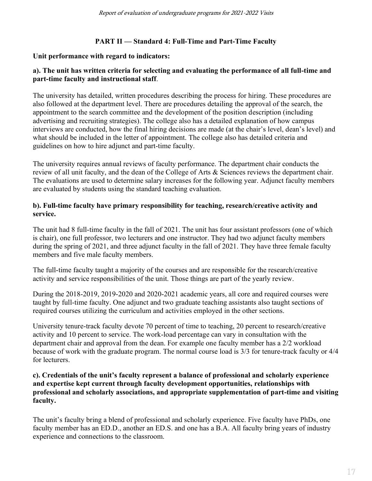# **PART II — Standard 4: Full-Time and Part-Time Faculty**

### **Unit performance with regard to indicators:**

### **a). The unit has written criteria for selecting and evaluating the performance of all full-time and part-time faculty and instructional staff**.

The university has detailed, written procedures describing the process for hiring. These procedures are also followed at the department level. There are procedures detailing the approval of the search, the appointment to the search committee and the development of the position description (including advertising and recruiting strategies). The college also has a detailed explanation of how campus interviews are conducted, how the final hiring decisions are made (at the chair's level, dean's level) and what should be included in the letter of appointment. The college also has detailed criteria and guidelines on how to hire adjunct and part-time faculty.

The university requires annual reviews of faculty performance. The department chair conducts the review of all unit faculty, and the dean of the College of Arts & Sciences reviews the department chair. The evaluations are used to determine salary increases for the following year. Adjunct faculty members are evaluated by students using the standard teaching evaluation.

#### **b). Full-time faculty have primary responsibility for teaching, research/creative activity and service.**

The unit had 8 full-time faculty in the fall of 2021. The unit has four assistant professors (one of which is chair), one full professor, two lecturers and one instructor. They had two adjunct faculty members during the spring of 2021, and three adjunct faculty in the fall of 2021. They have three female faculty members and five male faculty members.

The full-time faculty taught a majority of the courses and are responsible for the research/creative activity and service responsibilities of the unit. Those things are part of the yearly review.

During the 2018-2019, 2019-2020 and 2020-2021 academic years, all core and required courses were taught by full-time faculty. One adjunct and two graduate teaching assistants also taught sections of required courses utilizing the curriculum and activities employed in the other sections.

University tenure-track faculty devote 70 percent of time to teaching, 20 percent to research/creative activity and 10 percent to service. The work-load percentage can vary in consultation with the department chair and approval from the dean. For example one faculty member has a 2/2 workload because of work with the graduate program. The normal course load is 3/3 for tenure-track faculty or 4/4 for lecturers.

#### **c). Credentials of the unit's faculty represent a balance of professional and scholarly experience and expertise kept current through faculty development opportunities, relationships with professional and scholarly associations, and appropriate supplementation of part-time and visiting faculty.**

The unit's faculty bring a blend of professional and scholarly experience. Five faculty have PhDs, one faculty member has an ED.D., another an ED.S. and one has a B.A. All faculty bring years of industry experience and connections to the classroom.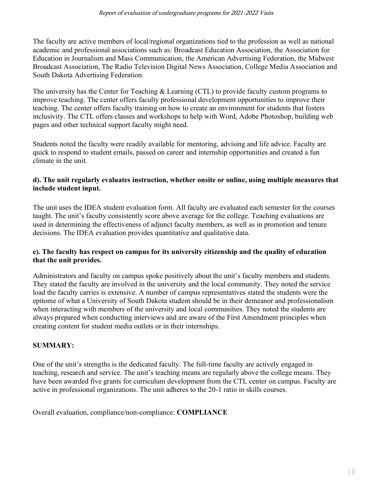The faculty are active members of local/regional organizations tied to the profession as well as national academic and professional associations such as: Broadcast Education Association, the Association for Education in Journalism and Mass Communication, the American Advertising Federation, the Midwest Broadcast Association, The Radio Television Digital News Association, College Media Association and South Dakota Advertising Federation.

The university has the Center for Teaching & Learning (CTL) to provide faculty custom programs to improve teaching. The center offers faculty professional development opportunities to improve their teaching. The center offers faculty training on how to create an environment for students that fosters inclusivity. The CTL offers classes and workshops to help with Word, Adobe Photoshop, building web pages and other technical support faculty might need.

Students noted the faculty were readily available for mentoring, advising and life advice. Faculty are quick to respond to student emails, passed on career and internship opportunities and created a fun climate in the unit.

#### **d). The unit regularly evaluates instruction, whether onsite or online, using multiple measures that include student input.**

The unit uses the IDEA student evaluation form. All faculty are evaluated each semester for the courses taught. The unit's faculty consistently score above average for the college. Teaching evaluations are used in determining the effectiveness of adjunct faculty members, as well as in promotion and tenure decisions. The IDEA evaluation provides quantitative and qualitative data.

# **e). The faculty has respect on campus for its university citizenship and the quality of education that the unit provides.**

Administrators and faculty on campus spoke positively about the unit's faculty members and students. They stated the faculty are involved in the university and the local community. They noted the service load the faculty carries is extensive. A number of campus representatives stated the students were the epitome of what a University of South Dakota student should be in their demeanor and professionalism when interacting with members of the university and local communities. They noted the students are always prepared when conducting interviews and are aware of the First Amendment principles when creating content for student media outlets or in their internships.

# **SUMMARY:**

One of the unit's strengths is the dedicated faculty. The full-time faculty are actively engaged in teaching, research and service. The unit's teaching means are regularly above the college means. They have been awarded five grants for curriculum development from the CTL center on campus. Faculty are active in professional organizations. The unit adheres to the 20-1 ratio in skills courses.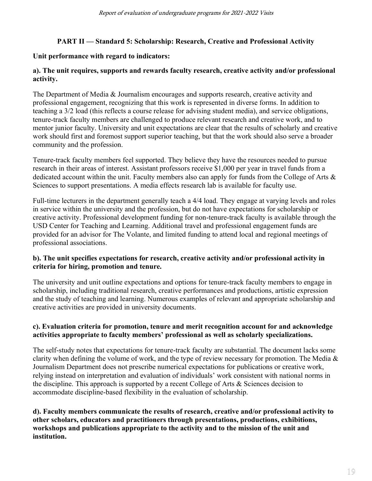# **PART II — Standard 5: Scholarship: Research, Creative and Professional Activity**

#### **Unit performance with regard to indicators:**

### **a). The unit requires, supports and rewards faculty research, creative activity and/or professional activity.**

The Department of Media & Journalism encourages and supports research, creative activity and professional engagement, recognizing that this work is represented in diverse forms. In addition to teaching a 3/2 load (this reflects a course release for advising student media), and service obligations, tenure-track faculty members are challenged to produce relevant research and creative work, and to mentor junior faculty. University and unit expectations are clear that the results of scholarly and creative work should first and foremost support superior teaching, but that the work should also serve a broader community and the profession.

Tenure-track faculty members feel supported. They believe they have the resources needed to pursue research in their areas of interest. Assistant professors receive \$1,000 per year in travel funds from a dedicated account within the unit. Faculty members also can apply for funds from the College of Arts & Sciences to support presentations. A media effects research lab is available for faculty use.

Full-time lecturers in the department generally teach a 4/4 load. They engage at varying levels and roles in service within the university and the profession, but do not have expectations for scholarship or creative activity. Professional development funding for non-tenure-track faculty is available through the USD Center for Teaching and Learning. Additional travel and professional engagement funds are provided for an advisor for The Volante, and limited funding to attend local and regional meetings of professional associations.

#### **b). The unit specifies expectations for research, creative activity and/or professional activity in criteria for hiring, promotion and tenure.**

The university and unit outline expectations and options for tenure-track faculty members to engage in scholarship, including traditional research, creative performances and productions, artistic expression and the study of teaching and learning. Numerous examples of relevant and appropriate scholarship and creative activities are provided in university documents.

#### **c). Evaluation criteria for promotion, tenure and merit recognition account for and acknowledge activities appropriate to faculty members' professional as well as scholarly specializations.**

The self-study notes that expectations for tenure-track faculty are substantial. The document lacks some clarity when defining the volume of work, and the type of review necessary for promotion. The Media  $\&$ Journalism Department does not prescribe numerical expectations for publications or creative work, relying instead on interpretation and evaluation of individuals' work consistent with national norms in the discipline. This approach is supported by a recent College of Arts & Sciences decision to accommodate discipline-based flexibility in the evaluation of scholarship.

**d). Faculty members communicate the results of research, creative and/or professional activity to other scholars, educators and practitioners through presentations, productions, exhibitions, workshops and publications appropriate to the activity and to the mission of the unit and institution.**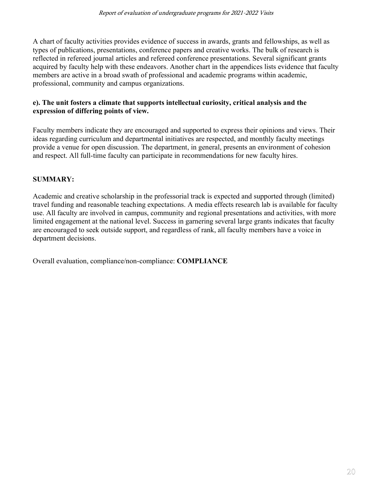A chart of faculty activities provides evidence of success in awards, grants and fellowships, as well as types of publications, presentations, conference papers and creative works. The bulk of research is reflected in refereed journal articles and refereed conference presentations. Several significant grants acquired by faculty help with these endeavors. Another chart in the appendices lists evidence that faculty members are active in a broad swath of professional and academic programs within academic, professional, community and campus organizations.

#### **e). The unit fosters a climate that supports intellectual curiosity, critical analysis and the expression of differing points of view.**

Faculty members indicate they are encouraged and supported to express their opinions and views. Their ideas regarding curriculum and departmental initiatives are respected, and monthly faculty meetings provide a venue for open discussion. The department, in general, presents an environment of cohesion and respect. All full-time faculty can participate in recommendations for new faculty hires.

# **SUMMARY:**

Academic and creative scholarship in the professorial track is expected and supported through (limited) travel funding and reasonable teaching expectations. A media effects research lab is available for faculty use. All faculty are involved in campus, community and regional presentations and activities, with more limited engagement at the national level. Success in garnering several large grants indicates that faculty are encouraged to seek outside support, and regardless of rank, all faculty members have a voice in department decisions.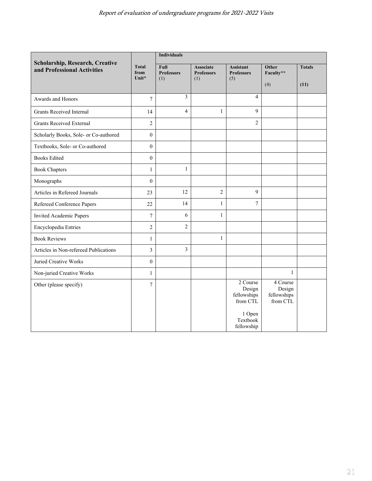| Scholarship, Research, Creative<br>and Professional Activities | <b>Total</b><br>from<br>Unit* | <b>Individuals</b>               |                                              |                                               |                                               |               |
|----------------------------------------------------------------|-------------------------------|----------------------------------|----------------------------------------------|-----------------------------------------------|-----------------------------------------------|---------------|
|                                                                |                               | Full<br><b>Professors</b><br>(1) | <b>Associate</b><br><b>Professors</b><br>(1) | <b>Assistant</b><br><b>Professors</b><br>(5)  | Other<br>Faculty**                            | <b>Totals</b> |
|                                                                |                               |                                  |                                              |                                               | (4)                                           | (11)          |
| Awards and Honors                                              | 7                             | 3                                |                                              | $\overline{\mathbf{4}}$                       |                                               |               |
| <b>Grants Received Internal</b>                                | 14                            | $\overline{4}$                   | $\mathbf{1}$                                 | 9                                             |                                               |               |
| <b>Grants Received External</b>                                | $\overline{c}$                |                                  |                                              | $\overline{c}$                                |                                               |               |
| Scholarly Books, Sole- or Co-authored                          | $\boldsymbol{0}$              |                                  |                                              |                                               |                                               |               |
| Textbooks, Sole- or Co-authored                                | $\boldsymbol{0}$              |                                  |                                              |                                               |                                               |               |
| <b>Books Edited</b>                                            | $\boldsymbol{0}$              |                                  |                                              |                                               |                                               |               |
| <b>Book Chapters</b>                                           | $\mathbf{1}$                  | $\mathbf{1}$                     |                                              |                                               |                                               |               |
| Monographs                                                     | $\boldsymbol{0}$              |                                  |                                              |                                               |                                               |               |
| Articles in Refereed Journals                                  | 23                            | 12                               | $\overline{c}$                               | 9                                             |                                               |               |
| Refereed Conference Papers                                     | 22                            | 14                               | $\mathbf{1}$                                 | $\overline{7}$                                |                                               |               |
| Invited Academic Papers                                        | $\tau$                        | 6                                | $\mathbf{1}$                                 |                                               |                                               |               |
| Encyclopedia Entries                                           | $\overline{c}$                | $\overline{c}$                   |                                              |                                               |                                               |               |
| <b>Book Reviews</b>                                            | $\mathbf{1}$                  |                                  | $\mathbf{1}$                                 |                                               |                                               |               |
| Articles in Non-refereed Publications                          | 3                             | 3                                |                                              |                                               |                                               |               |
| Juried Creative Works                                          | $\mathbf{0}$                  |                                  |                                              |                                               |                                               |               |
| Non-juried Creative Works                                      | $\mathbf{1}$                  |                                  |                                              |                                               | 1                                             |               |
| Other (please specify)                                         | $\overline{7}$                |                                  |                                              | 2 Course<br>Design<br>fellowships<br>from CTL | 4 Course<br>Design<br>fellowships<br>from CTL |               |
|                                                                |                               |                                  |                                              | 1 Open<br>Textbook<br>fellowship              |                                               |               |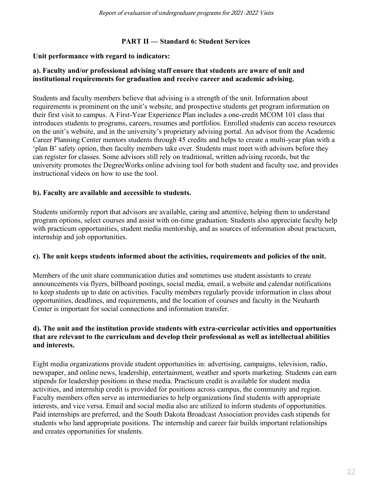#### **PART II — Standard 6: Student Services**

#### **Unit performance with regard to indicators:**

### **a). Faculty and/or professional advising staff ensure that students are aware of unit and institutional requirements for graduation and receive career and academic advising.**

Students and faculty members believe that advising is a strength of the unit. Information about requirements is prominent on the unit's website, and prospective students get program information on their first visit to campus. A First-Year Experience Plan includes a one-credit MCOM 101 class that introduces students to programs, careers, resumes and portfolios. Enrolled students can access resources on the unit's website, and in the university's proprietary advising portal. An advisor from the Academic Career Planning Center mentors students through 45 credits and helps to create a multi-year plan with a 'plan B' safety option, then faculty members take over. Students must meet with advisors before they can register for classes. Some advisors still rely on traditional, written advising records, but the university promotes the DegreeWorks online advising tool for both student and faculty use, and provides instructional videos on how to use the tool.

#### **b). Faculty are available and accessible to students.**

Students uniformly report that advisors are available, caring and attentive, helping them to understand program options, select courses and assist with on-time graduation. Students also appreciate faculty help with practicum opportunities, student media mentorship, and as sources of information about practicum, internship and job opportunities.

#### **c). The unit keeps students informed about the activities, requirements and policies of the unit.**

Members of the unit share communication duties and sometimes use student assistants to create announcements via flyers, billboard postings, social media, email, a website and calendar notifications to keep students up to date on activities. Faculty members regularly provide information in class about opportunities, deadlines, and requirements, and the location of courses and faculty in the Neuharth Center is important for social connections and information transfer.

#### **d). The unit and the institution provide students with extra-curricular activities and opportunities that are relevant to the curriculum and develop their professional as well as intellectual abilities and interests.**

Eight media organizations provide student opportunities in: advertising, campaigns, television, radio, newspaper, and online news, leadership, entertainment, weather and sports marketing. Students can earn stipends for leadership positions in these media. Practicum credit is available for student media activities, and internship credit is provided for positions across campus, the community and region. Faculty members often serve as intermediaries to help organizations find students with appropriate interests, and vice versa. Email and social media also are utilized to inform students of opportunities. Paid internships are preferred, and the South Dakota Broadcast Association provides cash stipends for students who land appropriate positions. The internship and career fair builds important relationships and creates opportunities for students.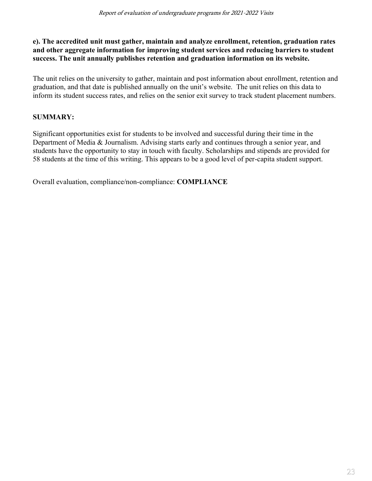### **e). The accredited unit must gather, maintain and analyze enrollment, retention, graduation rates and other aggregate information for improving student services and reducing barriers to student success. The unit annually publishes retention and graduation information on its website.**

The unit relies on the university to gather, maintain and post information about enrollment, retention and graduation, and that date is published annually on the unit's website. The unit relies on this data to inform its student success rates, and relies on the senior exit survey to track student placement numbers.

# **SUMMARY:**

Significant opportunities exist for students to be involved and successful during their time in the Department of Media & Journalism. Advising starts early and continues through a senior year, and students have the opportunity to stay in touch with faculty. Scholarships and stipends are provided for 58 students at the time of this writing. This appears to be a good level of per-capita student support.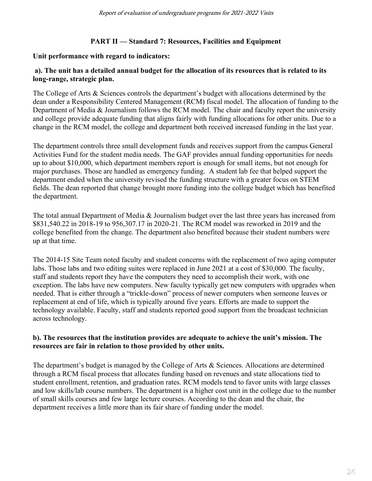#### **PART II — Standard 7: Resources, Facilities and Equipment**

#### **Unit performance with regard to indicators:**

#### **a). The unit has a detailed annual budget for the allocation of its resources that is related to its long-range, strategic plan.**

The College of Arts & Sciences controls the department's budget with allocations determined by the dean under a Responsibility Centered Management (RCM) fiscal model. The allocation of funding to the Department of Media & Journalism follows the RCM model. The chair and faculty report the university and college provide adequate funding that aligns fairly with funding allocations for other units. Due to a change in the RCM model, the college and department both received increased funding in the last year.

The department controls three small development funds and receives support from the campus General Activities Fund for the student media needs. The GAF provides annual funding opportunities for needs up to about \$10,000, which department members report is enough for small items, but not enough for major purchases. Those are handled as emergency funding. A student lab fee that helped support the department ended when the university revised the funding structure with a greater focus on STEM fields. The dean reported that change brought more funding into the college budget which has benefited the department.

The total annual Department of Media & Journalism budget over the last three years has increased from \$831,540.22 in 2018-19 to 956,307.17 in 2020-21. The RCM model was reworked in 2019 and the college benefited from the change. The department also benefited because their student numbers were up at that time.

The 2014-15 Site Team noted faculty and student concerns with the replacement of two aging computer labs. Those labs and two editing suites were replaced in June 2021 at a cost of \$30,000. The faculty, staff and students report they have the computers they need to accomplish their work, with one exception. The labs have new computers. New faculty typically get new computers with upgrades when needed. That is either through a "trickle-down" process of newer computers when someone leaves or replacement at end of life, which is typically around five years. Efforts are made to support the technology available. Faculty, staff and students reported good support from the broadcast technician across technology.

#### **b). The resources that the institution provides are adequate to achieve the unit's mission. The resources are fair in relation to those provided by other units.**

The department's budget is managed by the College of Arts & Sciences. Allocations are determined through a RCM fiscal process that allocates funding based on revenues and state allocations tied to student enrollment, retention, and graduation rates. RCM models tend to favor units with large classes and low skills/lab course numbers. The department is a higher cost unit in the college due to the number of small skills courses and few large lecture courses. According to the dean and the chair, the department receives a little more than its fair share of funding under the model.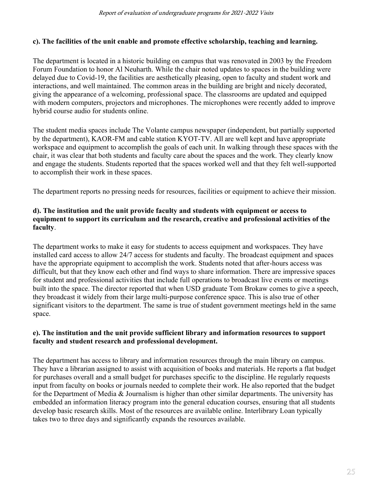#### **c). The facilities of the unit enable and promote effective scholarship, teaching and learning.**

The department is located in a historic building on campus that was renovated in 2003 by the Freedom Forum Foundation to honor Al Neuharth. While the chair noted updates to spaces in the building were delayed due to Covid-19, the facilities are aesthetically pleasing, open to faculty and student work and interactions, and well maintained. The common areas in the building are bright and nicely decorated, giving the appearance of a welcoming, professional space. The classrooms are updated and equipped with modern computers, projectors and microphones. The microphones were recently added to improve hybrid course audio for students online.

The student media spaces include The Volante campus newspaper (independent, but partially supported by the department), KAOR-FM and cable station KYOT-TV. All are well kept and have appropriate workspace and equipment to accomplish the goals of each unit. In walking through these spaces with the chair, it was clear that both students and faculty care about the spaces and the work. They clearly know and engage the students. Students reported that the spaces worked well and that they felt well-supported to accomplish their work in these spaces.

The department reports no pressing needs for resources, facilities or equipment to achieve their mission.

### **d). The institution and the unit provide faculty and students with equipment or access to equipment to support its curriculum and the research, creative and professional activities of the faculty**.

The department works to make it easy for students to access equipment and workspaces. They have installed card access to allow 24/7 access for students and faculty. The broadcast equipment and spaces have the appropriate equipment to accomplish the work. Students noted that after-hours access was difficult, but that they know each other and find ways to share information. There are impressive spaces for student and professional activities that include full operations to broadcast live events or meetings built into the space. The director reported that when USD graduate Tom Brokaw comes to give a speech, they broadcast it widely from their large multi-purpose conference space. This is also true of other significant visitors to the department. The same is true of student government meetings held in the same space.

#### **e). The institution and the unit provide sufficient library and information resources to support faculty and student research and professional development.**

The department has access to library and information resources through the main library on campus. They have a librarian assigned to assist with acquisition of books and materials. He reports a flat budget for purchases overall and a small budget for purchases specific to the discipline. He regularly requests input from faculty on books or journals needed to complete their work. He also reported that the budget for the Department of Media & Journalism is higher than other similar departments. The university has embedded an information literacy program into the general education courses, ensuring that all students develop basic research skills. Most of the resources are available online. Interlibrary Loan typically takes two to three days and significantly expands the resources available.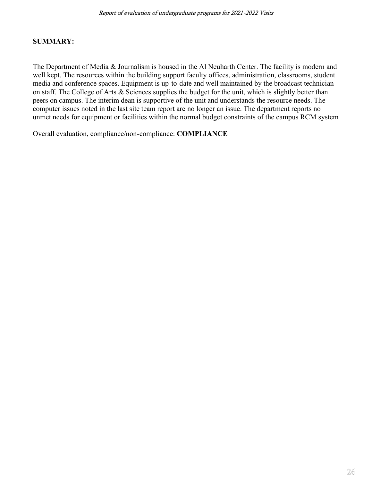#### **SUMMARY:**

The Department of Media & Journalism is housed in the Al Neuharth Center. The facility is modern and well kept. The resources within the building support faculty offices, administration, classrooms, student media and conference spaces. Equipment is up-to-date and well maintained by the broadcast technician on staff. The College of Arts & Sciences supplies the budget for the unit, which is slightly better than peers on campus. The interim dean is supportive of the unit and understands the resource needs. The computer issues noted in the last site team report are no longer an issue. The department reports no unmet needs for equipment or facilities within the normal budget constraints of the campus RCM system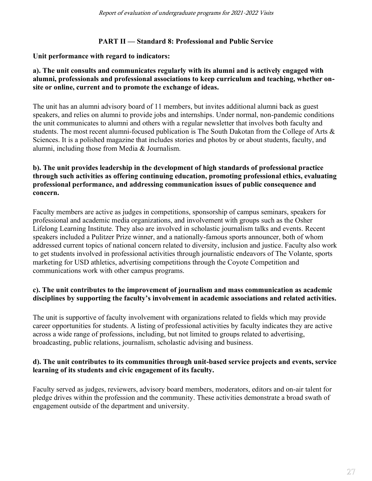### **PART II — Standard 8: Professional and Public Service**

#### **Unit performance with regard to indicators:**

#### **a). The unit consults and communicates regularly with its alumni and is actively engaged with alumni, professionals and professional associations to keep curriculum and teaching, whether onsite or online, current and to promote the exchange of ideas.**

The unit has an alumni advisory board of 11 members, but invites additional alumni back as guest speakers, and relies on alumni to provide jobs and internships. Under normal, non-pandemic conditions the unit communicates to alumni and others with a regular newsletter that involves both faculty and students. The most recent alumni-focused publication is The South Dakotan from the College of Arts & Sciences. It is a polished magazine that includes stories and photos by or about students, faculty, and alumni, including those from Media & Journalism.

#### **b). The unit provides leadership in the development of high standards of professional practice through such activities as offering continuing education, promoting professional ethics, evaluating professional performance, and addressing communication issues of public consequence and concern.**

Faculty members are active as judges in competitions, sponsorship of campus seminars, speakers for professional and academic media organizations, and involvement with groups such as the Osher Lifelong Learning Institute. They also are involved in scholastic journalism talks and events. Recent speakers included a Pulitzer Prize winner, and a nationally-famous sports announcer, both of whom addressed current topics of national concern related to diversity, inclusion and justice. Faculty also work to get students involved in professional activities through journalistic endeavors of The Volante, sports marketing for USD athletics, advertising competitions through the Coyote Competition and communications work with other campus programs.

#### **c). The unit contributes to the improvement of journalism and mass communication as academic disciplines by supporting the faculty's involvement in academic associations and related activities.**

The unit is supportive of faculty involvement with organizations related to fields which may provide career opportunities for students. A listing of professional activities by faculty indicates they are active across a wide range of professions, including, but not limited to groups related to advertising, broadcasting, public relations, journalism, scholastic advising and business.

#### **d). The unit contributes to its communities through unit-based service projects and events, service learning of its students and civic engagement of its faculty.**

Faculty served as judges, reviewers, advisory board members, moderators, editors and on-air talent for pledge drives within the profession and the community. These activities demonstrate a broad swath of engagement outside of the department and university.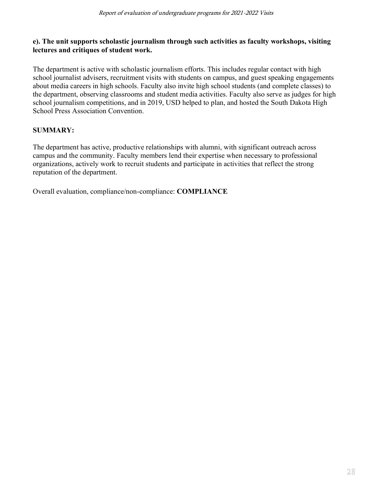### **e). The unit supports scholastic journalism through such activities as faculty workshops, visiting lectures and critiques of student work.**

The department is active with scholastic journalism efforts. This includes regular contact with high school journalist advisers, recruitment visits with students on campus, and guest speaking engagements about media careers in high schools. Faculty also invite high school students (and complete classes) to the department, observing classrooms and student media activities. Faculty also serve as judges for high school journalism competitions, and in 2019, USD helped to plan, and hosted the South Dakota High School Press Association Convention.

# **SUMMARY:**

The department has active, productive relationships with alumni, with significant outreach across campus and the community. Faculty members lend their expertise when necessary to professional organizations, actively work to recruit students and participate in activities that reflect the strong reputation of the department.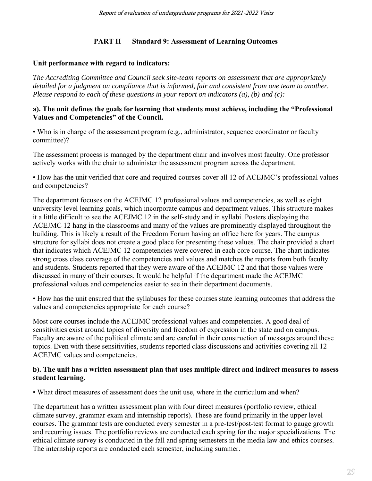# **PART II — Standard 9: Assessment of Learning Outcomes**

### **Unit performance with regard to indicators:**

*The Accrediting Committee and Council seek site-team reports on assessment that are appropriately detailed for a judgment on compliance that is informed, fair and consistent from one team to another. Please respond to each of these questions in your report on indicators (a), (b) and (c):*

#### **a). The unit defines the goals for learning that students must achieve, including the "Professional Values and Competencies" of the Council.**

• Who is in charge of the assessment program (e.g., administrator, sequence coordinator or faculty committee)?

The assessment process is managed by the department chair and involves most faculty. One professor actively works with the chair to administer the assessment program across the department.

• How has the unit verified that core and required courses cover all 12 of ACEJMC's professional values and competencies?

The department focuses on the ACEJMC 12 professional values and competencies, as well as eight university level learning goals, which incorporate campus and department values. This structure makes it a little difficult to see the ACEJMC 12 in the self-study and in syllabi. Posters displaying the ACEJMC 12 hang in the classrooms and many of the values are prominently displayed throughout the building. This is likely a result of the Freedom Forum having an office here for years. The campus structure for syllabi does not create a good place for presenting these values. The chair provided a chart that indicates which ACEJMC 12 competencies were covered in each core course. The chart indicates strong cross class coverage of the competencies and values and matches the reports from both faculty and students. Students reported that they were aware of the ACEJMC 12 and that those values were discussed in many of their courses. It would be helpful if the department made the ACEJMC professional values and competencies easier to see in their department documents.

• How has the unit ensured that the syllabuses for these courses state learning outcomes that address the values and competencies appropriate for each course?

Most core courses include the ACEJMC professional values and competencies. A good deal of sensitivities exist around topics of diversity and freedom of expression in the state and on campus. Faculty are aware of the political climate and are careful in their construction of messages around these topics. Even with these sensitivities, students reported class discussions and activities covering all 12 ACEJMC values and competencies.

#### **b). The unit has a written assessment plan that uses multiple direct and indirect measures to assess student learning.**

• What direct measures of assessment does the unit use, where in the curriculum and when?

The department has a written assessment plan with four direct measures (portfolio review, ethical climate survey, grammar exam and internship reports). These are found primarily in the upper level courses. The grammar tests are conducted every semester in a pre-test/post-test format to gauge growth and recurring issues. The portfolio reviews are conducted each spring for the major specializations. The ethical climate survey is conducted in the fall and spring semesters in the media law and ethics courses. The internship reports are conducted each semester, including summer.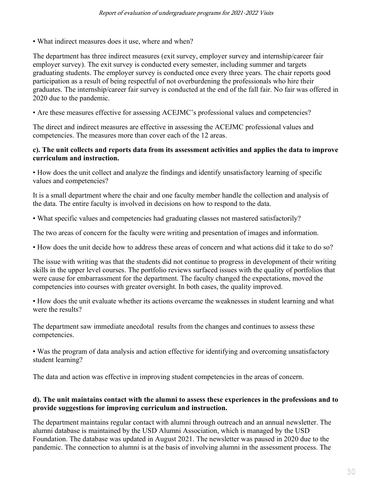• What indirect measures does it use, where and when?

The department has three indirect measures (exit survey, employer survey and internship/career fair employer survey). The exit survey is conducted every semester, including summer and targets graduating students. The employer survey is conducted once every three years. The chair reports good participation as a result of being respectful of not overburdening the professionals who hire their graduates. The internship/career fair survey is conducted at the end of the fall fair. No fair was offered in 2020 due to the pandemic.

• Are these measures effective for assessing ACEJMC's professional values and competencies?

The direct and indirect measures are effective in assessing the ACEJMC professional values and competencies. The measures more than cover each of the 12 areas.

#### **c). The unit collects and reports data from its assessment activities and applies the data to improve curriculum and instruction.**

• How does the unit collect and analyze the findings and identify unsatisfactory learning of specific values and competencies?

It is a small department where the chair and one faculty member handle the collection and analysis of the data. The entire faculty is involved in decisions on how to respond to the data.

• What specific values and competencies had graduating classes not mastered satisfactorily?

The two areas of concern for the faculty were writing and presentation of images and information.

• How does the unit decide how to address these areas of concern and what actions did it take to do so?

The issue with writing was that the students did not continue to progress in development of their writing skills in the upper level courses. The portfolio reviews surfaced issues with the quality of portfolios that were cause for embarrassment for the department. The faculty changed the expectations, moved the competencies into courses with greater oversight. In both cases, the quality improved.

• How does the unit evaluate whether its actions overcame the weaknesses in student learning and what were the results?

The department saw immediate anecdotal results from the changes and continues to assess these competencies.

• Was the program of data analysis and action effective for identifying and overcoming unsatisfactory student learning?

The data and action was effective in improving student competencies in the areas of concern.

#### **d). The unit maintains contact with the alumni to assess these experiences in the professions and to provide suggestions for improving curriculum and instruction.**

The department maintains regular contact with alumni through outreach and an annual newsletter. The alumni database is maintained by the USD Alumni Association, which is managed by the USD Foundation. The database was updated in August 2021. The newsletter was paused in 2020 due to the pandemic. The connection to alumni is at the basis of involving alumni in the assessment process. The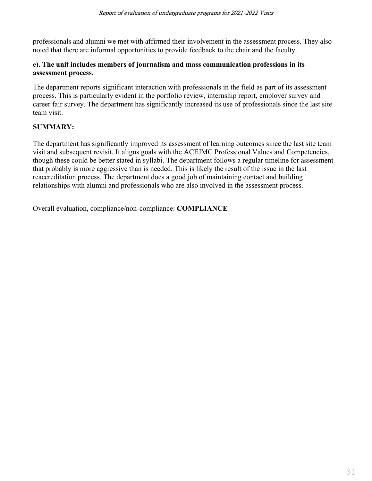professionals and alumni we met with affirmed their involvement in the assessment process. They also noted that there are informal opportunities to provide feedback to the chair and the faculty.

#### **e). The unit includes members of journalism and mass communication professions in its assessment process.**

The department reports significant interaction with professionals in the field as part of its assessment process. This is particularly evident in the portfolio review, internship report, employer survey and career fair survey. The department has significantly increased its use of professionals since the last site team visit.

# **SUMMARY:**

The department has significantly improved its assessment of learning outcomes since the last site team visit and subsequent revisit. It aligns goals with the ACEJMC Professional Values and Competencies, though these could be better stated in syllabi. The department follows a regular timeline for assessment that probably is more aggressive than is needed. This is likely the result of the issue in the last reaccreditation process. The department does a good job of maintaining contact and building relationships with alumni and professionals who are also involved in the assessment process.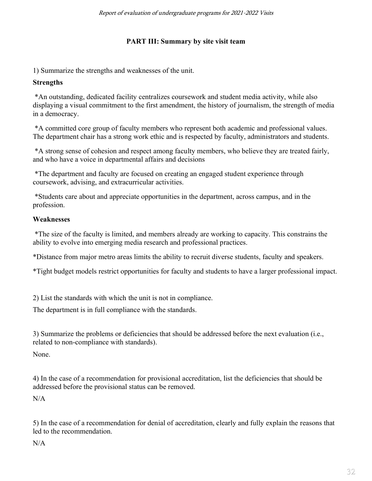# **PART III: Summary by site visit team**

1) Summarize the strengths and weaknesses of the unit.

# **Strengths**

\*An outstanding, dedicated facility centralizes coursework and student media activity, while also displaying a visual commitment to the first amendment, the history of journalism, the strength of media in a democracy.

\*A committed core group of faculty members who represent both academic and professional values. The department chair has a strong work ethic and is respected by faculty, administrators and students.

\*A strong sense of cohesion and respect among faculty members, who believe they are treated fairly, and who have a voice in departmental affairs and decisions

\*The department and faculty are focused on creating an engaged student experience through coursework, advising, and extracurricular activities.

\*Students care about and appreciate opportunities in the department, across campus, and in the profession.

# **Weaknesses**

\*The size of the faculty is limited, and members already are working to capacity. This constrains the ability to evolve into emerging media research and professional practices.

\*Distance from major metro areas limits the ability to recruit diverse students, faculty and speakers.

\*Tight budget models restrict opportunities for faculty and students to have a larger professional impact.

2) List the standards with which the unit is not in compliance.

The department is in full compliance with the standards.

3) Summarize the problems or deficiencies that should be addressed before the next evaluation (i.e., related to non-compliance with standards).

None.

4) In the case of a recommendation for provisional accreditation, list the deficiencies that should be addressed before the provisional status can be removed.

 $N/A$ 

5) In the case of a recommendation for denial of accreditation, clearly and fully explain the reasons that led to the recommendation.

 $N/A$